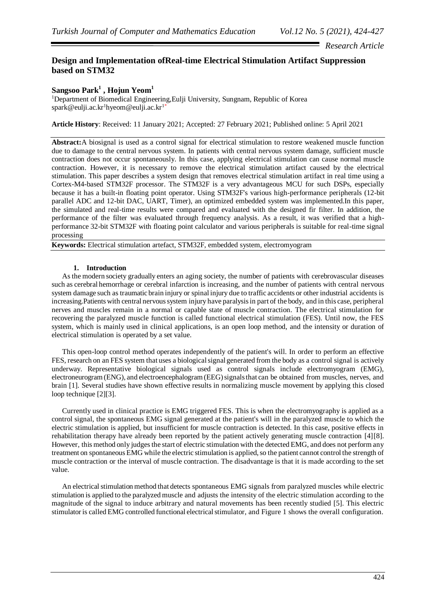*Research Article*

## **Design and Implementation ofReal-time Electrical Stimulation Artifact Suppression based on STM32**

# **Sangsoo Park<sup>1</sup> , Hojun Yeom<sup>1</sup>**

<sup>1</sup>Department of Biomedical Engineering, Eulji University, Sungnam, Republic of Korea  $spark@$ eulji.ac.kr<sup>1</sup>hyeom@eulji.ac.kr<sup>1\*</sup>

**Article History**: Received: 11 January 2021; Accepted: 27 February 2021; Published online: 5 April 2021

**Abstract:**A biosignal is used as a control signal for electrical stimulation to restore weakened muscle function due to damage to the central nervous system. In patients with central nervous system damage, sufficient muscle contraction does not occur spontaneously. In this case, applying electrical stimulation can cause normal muscle contraction. However, it is necessary to remove the electrical stimulation artifact caused by the electrical stimulation. This paper describes a system design that removes electrical stimulation artifact in real time using a Cortex-M4-based STM32F processor. The STM32F is a very advantageous MCU for such DSPs, especially because it has a built-in floating point operator. Using STM32F's various high-performance peripherals (12-bit parallel ADC and 12-bit DAC, UART, Timer), an optimized embedded system was implemented.In this paper, the simulated and real-time results were compared and evaluated with the designed fir filter. In addition, the performance of the filter was evaluated through frequency analysis. As a result, it was verified that a highperformance 32-bit STM32F with floating point calculator and various peripherals is suitable for real-time signal processing

**Keywords:** Electrical stimulation artefact, STM32F, embedded system, electromyogram

## **1. Introduction**

As the modern society gradually enters an aging society, the number of patients with cerebrovascular diseases such as cerebral hemorrhage or cerebral infarction is increasing, and the number of patients with central nervous system damage such as traumatic brain injury or spinal injury due to traffic accidents or other industrial accidents is increasing.Patients with central nervous system injury have paralysis in part of the body, and in this case, peripheral nerves and muscles remain in a normal or capable state of muscle contraction. The electrical stimulation for recovering the paralyzed muscle function is called functional electrical stimulation (FES). Until now, the FES system, which is mainly used in clinical applications, is an open loop method, and the intensity or duration of electrical stimulation is operated by a set value.

This open-loop control method operates independently of the patient's will. In order to perform an effective FES, research on an FES system that uses a biological signal generated from the body as a control signal is actively underway. Representative biological signals used as control signals include electromyogram (EMG), electroneurogram (ENG), and electroencephalogram (EEG) signals that can be obtained from muscles, nerves, and brain [1]. Several studies have shown effective results in normalizing muscle movement by applying this closed loop technique [2][3].

Currently used in clinical practice is EMG triggered FES. This is when the electromyography is applied as a control signal, the spontaneous EMG signal generated at the patient's will in the paralyzed muscle to which the electric stimulation is applied, but insufficient for muscle contraction is detected. In this case, positive effects in rehabilitation therapy have already been reported by the patient actively generating muscle contraction [4][8]. However, this method only judges the start of electric stimulation with the detected EMG, and does not perform any treatment on spontaneous EMG while the electric stimulation is applied, so the patient cannot control the strength of muscle contraction or the interval of muscle contraction. The disadvantage is that it is made according to the set value.

An electrical stimulation method that detects spontaneous EMG signals from paralyzed muscles while electric stimulation is applied to the paralyzed muscle and adjusts the intensity of the electric stimulation according to the magnitude of the signal to induce arbitrary and natural movements has been recently studied [5]. This electric stimulator is called EMG controlled functional electrical stimulator, and Figure 1 shows the overall configuration.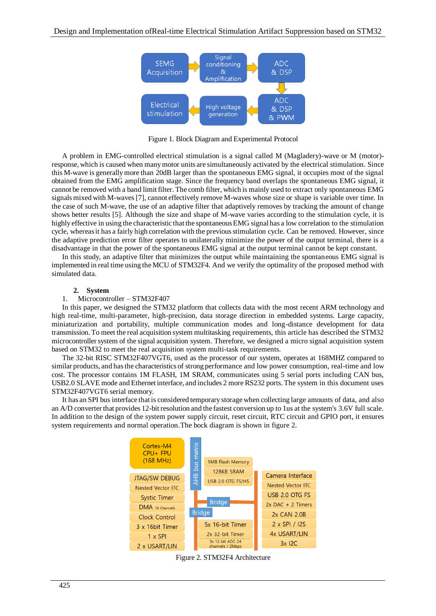

Figure 1. Block Diagram and Experimental Protocol

A problem in EMG-controlled electrical stimulation is a signal called M (Magladery)-wave or M (motor) response, which is caused when many motor units are simultaneously activated by the electrical stimulation. Since this M-wave is generally more than 20dB larger than the spontaneous EMG signal, it occupies most of the signal obtained from the EMG amplification stage. Since the frequency band overlaps the spontaneous EMG signal, it cannot be removed with a band limit filter. The comb filter, which is mainly used to extract only spontaneous EMG signals mixed with M-waves [7], cannot effectively remove M-waves whose size or shape is variable over time. In the case of such M-wave, the use of an adaptive filter that adaptively removes by tracking the amount of change shows better results [5]. Although the size and shape of M-wave varies according to the stimulation cycle, it is highly effective in using the characteristic that the spontaneous EMG signal has a low correlation to the stimulation cycle, whereas it has a fairly high correlation with the previous stimulation cycle. Can be removed. However, since the adaptive prediction error filter operates to unilaterally minimize the power of the output terminal, there is a disadvantage in that the power of the spontaneous EMG signal at the output terminal cannot be kept constant.

In this study, an adaptive filter that minimizes the output while maintaining the spontaneous EMG signal is implemented in real time using the MCU of STM32F4. And we verify the optimality of the proposed method with simulated data.

## **2. System**

#### 1. Microcontroller – STM32F407

In this paper, we designed the STM32 platform that collects data with the most recent ARM technology and high real-time, multi-parameter, high-precision, data storage direction in embedded systems. Large capacity, miniaturization and portability, multiple communication modes and long-distance development for data transmission. To meet the real acquisition system multitasking requirements, this article has described the STM32 microcontroller system of the signal acquisition system. Therefore, we designed a micro signal acquisition system based on STM32 to meet the real acquisition system multi-task requirements.

The 32-bit RISC STM32F407VGT6, used as the processor of our system, operates at 168MHZ compared to similar products, and has the characteristics of strong performance and low power consumption, real-time and low cost. The processor contains 1M FLASH, 1M SRAM, communicates using 5 serial ports including CAN bus, USB2.0 SLAVE mode and Ethernet interface, and includes 2 more RS232 ports. The system in this document uses STM32F407VGT6 serial memory.

It has an SPI bus interface that is considered temporary storage when collecting large amounts of data, and also an A/D converter that provides 12-bit resolution and the fastest conversion up to 1us at the system's 3.6V full scale. In addition to the design of the system power supply circuit, reset circuit, RTC circuit and GPIO port, it ensures system requirements and normal operation.The bock diagram is shown in figure 2.



Figure 2. STM32F4 Architecture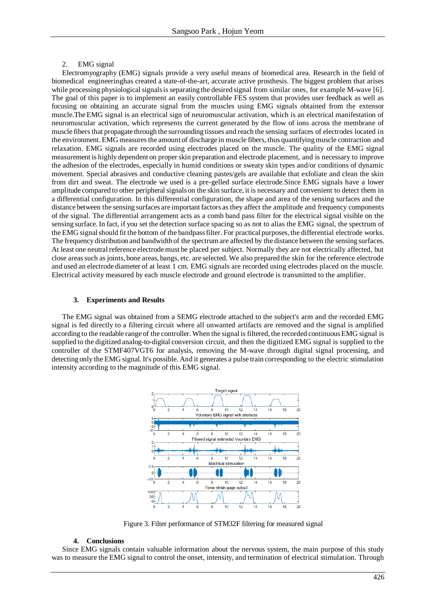## 2. EMG signal

Electromyography (EMG) signals provide a very useful means of biomedical area. Research in the field of biomedical engineeringhas created a state-of-the-art, accurate active prosthesis. The biggest problem that arises while processing physiological signals is separating the desired signal from similar ones, for example M-wave [6]. The goal of this paper is to implement an easily controllable FES system that provides user feedback as well as focusing on obtaining an accurate signal from the muscles using EMG signals obtained from the extensor muscle.The EMG signal is an electrical sign of neuromuscular activation, which is an electrical manifestation of neuromuscular activation, which represents the current generated by the flow of ions across the membrane of muscle fibers that propagate through the surrounding tissues and reach the sensing surfaces of electrodes located in the environment. EMG measures the amount of discharge in muscle fibers, thus quantifying muscle contraction and relaxation. EMG signals are recorded using electrodes placed on the muscle. The quality of the EMG signal measurement is highly dependent on proper skin preparation and electrode placement, and is necessary to improve the adhesion of the electrodes, especially in humid conditions or sweaty skin types and/or conditions of dynamic movement. Special abrasives and conductive cleaning pastes/gels are available that exfoliate and clean the skin from dirt and sweat. The electrode we used is a pre-gelled surface electrode.Since EMG signals have a lower amplitude compared to other peripheral signals on the skin surface, it is necessary and convenient to detect them in a differential configuration. In this differential configuration, the shape and area of the sensing surfaces and the distance between the sensing surfaces are important factors as they affect the amplitude and frequency components of the signal. The differential arrangement acts as a comb band pass filter for the electrical signal visible on the sensing surface. In fact, if you set the detection surface spacing so as not to alias the EMG signal, the spectrum of the EMG signal should fit the bottom of the bandpass filter. For practical purposes, the differential electrode works. The frequency distribution and bandwidth of the spectrum are affected by the distance between the sensing surfaces. At least one neutral reference electrode must be placed per subject. Normally they are not electrically affected, but close areas such as joints, bone areas, bangs, etc. are selected. We also prepared the skin for the reference electrode and used an electrode diameter of at least 1 cm. EMG signals are recorded using electrodes placed on the muscle. Electrical activity measured by each muscle electrode and ground electrode is transmitted to the amplifier.

## **3. Experiments and Results**

The EMG signal was obtained from a SEMG electrode attached to the subject's arm and the recorded EMG signal is fed directly to a filtering circuit where all unwanted artifacts are removed and the signal is amplified according to the readable range of the controller. When the signal is filtered, the recorded continuous EMG signal is supplied to the digitized analog-to-digital conversion circuit, and then the digitized EMG signal is supplied to the controller of the STMF407VGT6 for analysis, removing the M-wave through digital signal processing, and detecting only the EMG signal. It's possible. And it generates a pulse train corresponding to the electric stimulation intensity according to the magnitude of this EMG signal.



Figure 3. Filter performance of STM32F filtering for measured signal

## **4. Conclusions**

Since EMG signals contain valuable information about the nervous system, the main purpose of this study was to measure the EMG signal to control the onset, intensity, and termination of electrical stimulation. Through